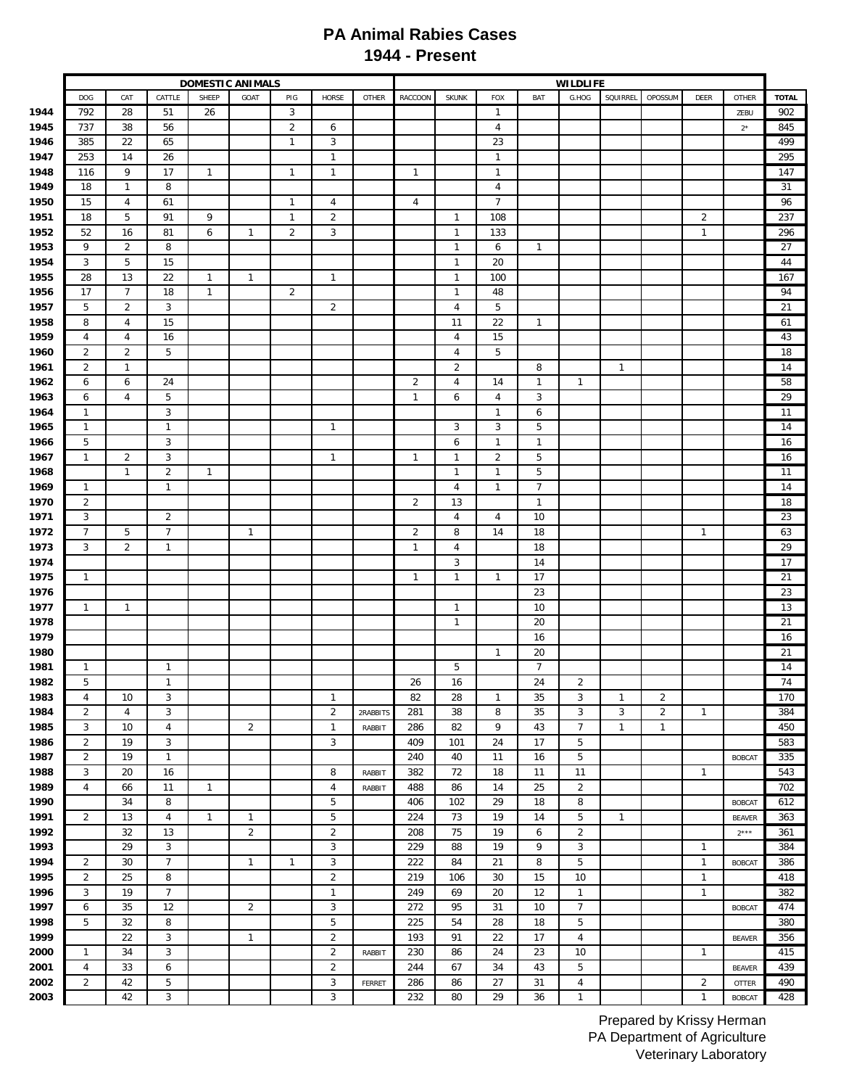## **PA Animal Rabies Cases 1944 - Present**

|              | <b>DOMESTIC ANIMALS</b> |                   |                      |              |                |                |                   |          |              | <b>WILDLIFE</b> |                     |                   |                                |                  |                |                |                       |              |
|--------------|-------------------------|-------------------|----------------------|--------------|----------------|----------------|-------------------|----------|--------------|-----------------|---------------------|-------------------|--------------------------------|------------------|----------------|----------------|-----------------------|--------------|
|              | <b>DOG</b>              | CAT               | CATTLE               | SHEEP        | GOAT           | PIG            | HORSE             | OTHER    | RACCOON      | <b>SKUNK</b>    | <b>FOX</b>          | BAT               | G.HOG                          | SQUIRREL OPOSSUM |                | DEER           | OTHER                 | <b>TOTAL</b> |
| 1944         | 792                     | 28                | 51                   | 26           |                | 3              |                   |          |              |                 | $\mathbf{1}$        |                   |                                |                  |                |                | ZEBU                  | 902          |
| 1945         | 737                     | 38                | 56                   |              |                | 2              | 6                 |          |              |                 | $\overline{4}$      |                   |                                |                  |                |                | $2^*$                 | 845          |
| 1946         | 385                     | 22                | 65                   |              |                | $\mathbf{1}$   | 3                 |          |              |                 | 23                  |                   |                                |                  |                |                |                       | 499          |
| 1947         | 253                     | 14                | 26                   |              |                |                | $\mathbf{1}$      |          |              |                 | $\mathbf{1}$        |                   |                                |                  |                |                |                       | 295          |
| 1948         | 116                     | 9                 | 17                   | $\mathbf{1}$ |                | $\mathbf{1}$   | $\mathbf{1}$      |          | $\mathbf{1}$ |                 | $\mathbf{1}$        |                   |                                |                  |                |                |                       | 147          |
| 1949<br>1950 | 18<br>15                | $\mathbf{1}$<br>4 | 8                    |              |                | $\mathbf{1}$   | 4                 |          | 4            |                 | 4<br>$\overline{7}$ |                   |                                |                  |                |                |                       | 31<br>96     |
| 1951         | 18                      | 5                 | 61<br>91             | 9            |                | $\mathbf{1}$   | $\overline{2}$    |          |              | $\mathbf{1}$    | 108                 |                   |                                |                  |                | $\overline{2}$ |                       | 237          |
| 1952         | 52                      | 16                | 81                   | 6            | $\overline{1}$ | $\overline{2}$ | 3                 |          |              | $\mathbf{1}$    | 133                 |                   |                                |                  |                | $\mathbf{1}$   |                       | 296          |
| 1953         | 9                       | 2                 | 8                    |              |                |                |                   |          |              | $\mathbf{1}$    | 6                   | $\mathbf{1}$      |                                |                  |                |                |                       | 27           |
| 1954         | 3                       | 5                 | 15                   |              |                |                |                   |          |              | $\mathbf{1}$    | 20                  |                   |                                |                  |                |                |                       | 44           |
| 1955         | 28                      | 13                | 22                   | $\mathbf{1}$ | $\mathbf{1}$   |                | $\mathbf{1}$      |          |              | $\mathbf{1}$    | 100                 |                   |                                |                  |                |                |                       | 167          |
| 1956         | 17                      | $\overline{7}$    | 18                   | $\mathbf{1}$ |                | $\overline{2}$ |                   |          |              | $\mathbf{1}$    | 48                  |                   |                                |                  |                |                |                       | 94           |
| 1957         | 5                       | $\overline{2}$    | 3                    |              |                |                | $\overline{2}$    |          |              | 4               | 5                   |                   |                                |                  |                |                |                       | 21           |
| 1958         | 8                       | 4                 | 15                   |              |                |                |                   |          |              | 11              | 22                  | $\mathbf{1}$      |                                |                  |                |                |                       | 61           |
| 1959         | $\overline{4}$          | 4                 | 16                   |              |                |                |                   |          |              | 4               | 15                  |                   |                                |                  |                |                |                       | 43           |
| 1960         | 2                       | 2                 | 5                    |              |                |                |                   |          |              | 4               | 5                   |                   |                                |                  |                |                |                       | 18           |
| 1961         | 2                       | $\mathbf{1}$      |                      |              |                |                |                   |          |              | $\overline{2}$  |                     | 8                 |                                | $\mathbf{1}$     |                |                |                       | 14           |
| 1962         | 6                       | 6                 | 24                   |              |                |                |                   |          | 2            | $\overline{4}$  | 14                  | $\mathbf{1}$      | $\overline{1}$                 |                  |                |                |                       | 58           |
| 1963         | 6                       | 4                 | 5                    |              |                |                |                   |          | $\mathbf{1}$ | 6               | 4                   | 3                 |                                |                  |                |                |                       | 29           |
| 1964         | $\mathbf{1}$            |                   | 3                    |              |                |                |                   |          |              |                 | $\mathbf{1}$        | 6                 |                                |                  |                |                |                       | 11           |
| 1965         | $\overline{1}$          |                   | $\mathbf{1}$<br>3    |              |                |                | $\mathbf{1}$      |          |              | 3<br>6          | 3<br>$\mathbf{1}$   | 5<br>$\mathbf{1}$ |                                |                  |                |                |                       | 14           |
| 1966<br>1967 | 5<br>$\overline{1}$     | 2                 | 3                    |              |                |                | $\mathbf{1}$      |          | $\mathbf{1}$ | $\mathbf{1}$    | $\overline{2}$      | 5                 |                                |                  |                |                |                       | 16<br>16     |
| 1968         |                         | $\mathbf{1}$      | $\overline{2}$       | $\mathbf{1}$ |                |                |                   |          |              | $\mathbf{1}$    | $\mathbf{1}$        | 5                 |                                |                  |                |                |                       | 11           |
| 1969         | $\mathbf{1}$            |                   | $\mathbf{1}$         |              |                |                |                   |          |              | 4               | $\mathbf{1}$        | $\overline{7}$    |                                |                  |                |                |                       | 14           |
| 1970         | 2                       |                   |                      |              |                |                |                   |          | 2            | 13              |                     | $\mathbf{1}$      |                                |                  |                |                |                       | 18           |
| 1971         | 3                       |                   | 2                    |              |                |                |                   |          |              | 4               | $\overline{4}$      | 10                |                                |                  |                |                |                       | 23           |
| 1972         | 7                       | 5                 | $\overline{7}$       |              | $\mathbf{1}$   |                |                   |          | 2            | 8               | 14                  | 18                |                                |                  |                | $\mathbf{1}$   |                       | 63           |
| 1973         | 3                       | $\overline{2}$    | $\mathbf{1}$         |              |                |                |                   |          | $\mathbf{1}$ | 4               |                     | 18                |                                |                  |                |                |                       | 29           |
| 1974         |                         |                   |                      |              |                |                |                   |          |              | 3               |                     | 14                |                                |                  |                |                |                       | 17           |
| 1975         | $\mathbf{1}$            |                   |                      |              |                |                |                   |          | $\mathbf{1}$ | $\mathbf{1}$    | $\mathbf{1}$        | 17                |                                |                  |                |                |                       | 21           |
| 1976         |                         |                   |                      |              |                |                |                   |          |              |                 |                     | 23                |                                |                  |                |                |                       | 23           |
| 1977         | $\mathbf{1}$            | $\mathbf{1}$      |                      |              |                |                |                   |          |              | $\mathbf{1}$    |                     | 10                |                                |                  |                |                |                       | 13           |
| 1978         |                         |                   |                      |              |                |                |                   |          |              | $\mathbf{1}$    |                     | 20                |                                |                  |                |                |                       | 21           |
| 1979         |                         |                   |                      |              |                |                |                   |          |              |                 |                     | 16                |                                |                  |                |                |                       | 16           |
| 1980         |                         |                   |                      |              |                |                |                   |          |              |                 | $\mathbf{1}$        | 20                |                                |                  |                |                |                       | 21           |
| 1981         | $\mathbf{1}$            |                   | $\mathbf{1}$         |              |                |                |                   |          |              | 5               |                     | $\overline{7}$    |                                |                  |                |                |                       | 14           |
| 1982<br>1983 | 5<br>4                  | 10                | $\mathbf{1}$<br>3    |              |                |                | 1                 |          | 26<br>82     | 16<br>28        | $\mathbf{1}$        | 24<br>35          | 2<br>3                         | $\mathbf{1}$     | 2              |                |                       | 74<br>170    |
| 1984         | $\overline{2}$          | 4                 | 3                    |              |                |                | $\overline{2}$    | 2RABBITS | 281          | 38              | 8                   | 35                | 3                              | 3                | $\overline{2}$ | $\mathbf{1}$   |                       | 384          |
| 1985         | 3                       | 10                | 4                    |              | $\overline{2}$ |                | $\mathbf{1}$      | RABBIT   | 286          | 82              | 9                   | 43                | $\overline{7}$                 | $\mathbf{1}$     | $\mathbf{1}$   |                |                       | 450          |
| 1986         | 2                       | 19                | 3                    |              |                |                | 3                 |          | 409          | 101             | 24                  | 17                | 5                              |                  |                |                |                       | 583          |
| 1987         | 2                       | 19                | $\mathbf{1}$         |              |                |                |                   |          | 240          | 40              | 11                  | 16                | 5                              |                  |                |                | <b>BOBCAT</b>         | 335          |
| 1988         | 3                       | 20                | 16                   |              |                |                | 8                 | RABBIT   | 382          | 72              | 18                  | 11                | 11                             |                  |                | $\mathbf{1}$   |                       | 543          |
| 1989         | $\overline{4}$          | 66                | 11                   | $\mathbf{1}$ |                |                | 4                 | RABBIT   | 488          | 86              | 14                  | 25                | $\overline{2}$                 |                  |                |                |                       | 702          |
| 1990         |                         | 34                | 8                    |              |                |                | 5                 |          | 406          | 102             | 29                  | 18                | 8                              |                  |                |                | <b>BOBCAT</b>         | 612          |
| 1991         | $\overline{2}$          | 13                | 4                    | $\mathbf{1}$ | $\mathbf{1}$   |                | 5                 |          | 224          | 73              | 19                  | 14                | 5                              | $\mathbf{1}$     |                |                | <b>BEAVER</b>         | 363          |
| 1992         |                         | 32                | 13                   |              | 2              |                | 2                 |          | 208          | 75              | 19                  | 6                 | 2                              |                  |                |                | $2^{\star\star\star}$ | 361          |
| 1993         |                         | 29                | 3                    |              |                |                | 3                 |          | 229          | 88              | 19                  | 9                 | 3                              |                  |                | $\mathbf{1}$   |                       | 384          |
| 1994         | $\overline{2}$          | 30                | $\overline{7}$       |              | $\mathbf{1}$   | $\mathbf{1}$   | 3                 |          | 222          | 84              | 21                  | 8                 | 5                              |                  |                | $\mathbf{1}$   | <b>BOBCAT</b>         | 386          |
| 1995         | 2                       | 25                | 8                    |              |                |                | $\overline{2}$    |          | 219          | 106             | 30                  | 15                | 10                             |                  |                | $\mathbf{1}$   |                       | 418          |
| 1996<br>1997 | 3                       | 19<br>35          | $\overline{7}$<br>12 |              | $\overline{2}$ |                | $\mathbf{1}$<br>3 |          | 249<br>272   | 69<br>95        | 20<br>31            | 12<br>10          | $\mathbf{1}$<br>$\overline{7}$ |                  |                | $\mathbf{1}$   |                       | 382<br>474   |
| 1998         | 6<br>5                  | 32                | 8                    |              |                |                | 5                 |          | 225          | 54              | 28                  | 18                | 5                              |                  |                |                | <b>BOBCAT</b>         | 380          |
| 1999         |                         | 22                | 3                    |              | $\mathbf{1}$   |                | $\overline{2}$    |          | 193          | 91              | 22                  | 17                | $\overline{4}$                 |                  |                |                | <b>BEAVER</b>         | 356          |
| 2000         | $\mathbf{1}$            | 34                | 3                    |              |                |                | 2                 | RABBIT   | 230          | 86              | 24                  | 23                | 10                             |                  |                | $\mathbf{1}$   |                       | 415          |
| 2001         | $\overline{4}$          | 33                | 6                    |              |                |                | $\overline{2}$    |          | 244          | 67              | 34                  | 43                | 5                              |                  |                |                | <b>BEAVER</b>         | 439          |
| 2002         | $\overline{2}$          | 42                | 5                    |              |                |                | 3                 | FERRET   | 286          | 86              | 27                  | 31                | 4                              |                  |                | $\overline{2}$ | OTTER                 | 490          |
| 2003         |                         | 42                | 3                    |              |                |                | 3                 |          | 232          | 80              | 29                  | 36                | $\mathbf{1}$                   |                  |                | $\mathbf{1}$   | <b>BOBCAT</b>         | 428          |
|              |                         |                   |                      |              |                |                |                   |          |              |                 |                     |                   |                                |                  |                |                |                       |              |

Prepared by Krissy Herman PA Department of Agriculture Veterinary Laboratory